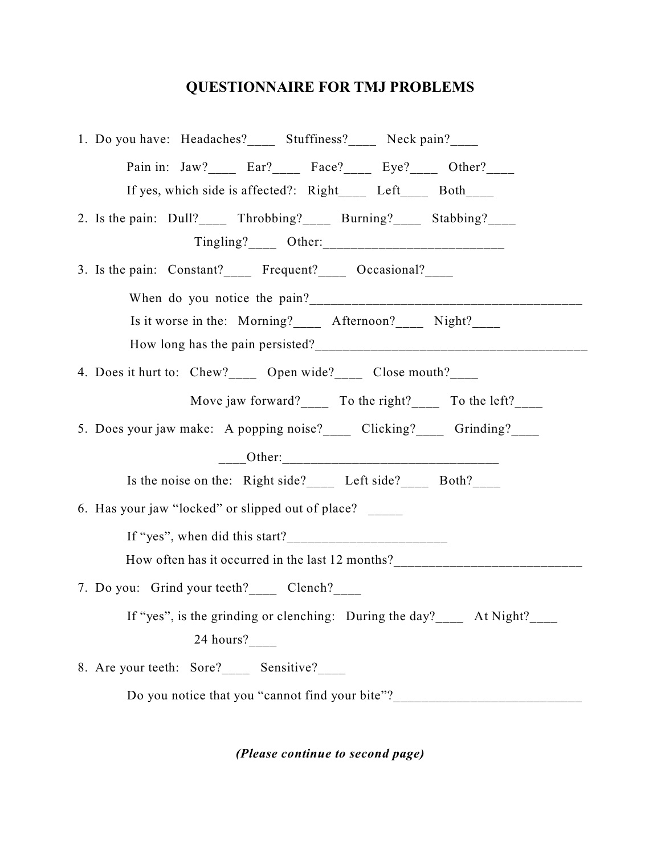## **QUESTIONNAIRE FOR TMJ PROBLEMS**

|                                                                   | 1. Do you have: Headaches?______ Stuffiness?_____ Neck pain?_____                |  |  |  |
|-------------------------------------------------------------------|----------------------------------------------------------------------------------|--|--|--|
|                                                                   | Pain in: Jaw?_____ Ear?_____ Face?_____ Eye?____ Other?____                      |  |  |  |
|                                                                   | If yes, which side is affected?: Right_____ Left____ Both____                    |  |  |  |
|                                                                   | 2. Is the pain: Dull? ______ Throbbing? _____ Burning? _____ Stabbing? _____     |  |  |  |
|                                                                   |                                                                                  |  |  |  |
|                                                                   | 3. Is the pain: Constant? Frequent? Occasional?                                  |  |  |  |
|                                                                   |                                                                                  |  |  |  |
|                                                                   | Is it worse in the: Morning?______ Afternoon?_____ Night?_____                   |  |  |  |
|                                                                   |                                                                                  |  |  |  |
|                                                                   | 4. Does it hurt to: Chew? ______ Open wide? ______ Close mouth? _____            |  |  |  |
|                                                                   | Move jaw forward? ______ To the right? _______ To the left? ______               |  |  |  |
|                                                                   | 5. Does your jaw make: A popping noise?_____ Clicking?_____ Grinding?____        |  |  |  |
|                                                                   |                                                                                  |  |  |  |
|                                                                   | Is the noise on the: Right side? Left side? Both?                                |  |  |  |
|                                                                   | 6. Has your jaw "locked" or slipped out of place?                                |  |  |  |
|                                                                   |                                                                                  |  |  |  |
|                                                                   | How often has it occurred in the last 12 months?________________________________ |  |  |  |
|                                                                   | 7. Do you: Grind your teeth? _______ Clench? ______                              |  |  |  |
| If "yes", is the grinding or clenching: During the day? At Night? |                                                                                  |  |  |  |
|                                                                   | 24 hours?____                                                                    |  |  |  |
|                                                                   | 8. Are your teeth: Sore?_______ Sensitive?______                                 |  |  |  |
|                                                                   | Do you notice that you "cannot find your bite"?_________________________________ |  |  |  |

*(Please continue to second page)*